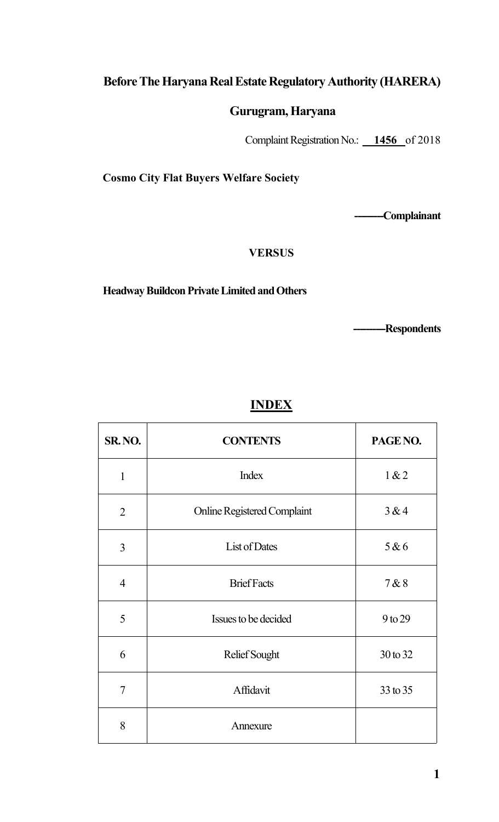## Before The Haryana Real Estate Regulatory Authority (HARERA)

## Gurugram,Haryana

Complaint Registration No.: \_\_**1456**\_of 2018

Cosmo City Flat Buyers Welfare Society

------------Complainant

### **VERSUS**

## Headway Buildcon Private Limited and Others

------------Respondents

# INDEX

| SR. NO.        | <b>CONTENTS</b>                    | PAGE NO. |
|----------------|------------------------------------|----------|
| $\mathbf{1}$   | <b>Index</b>                       | 1 & 2    |
| $\overline{2}$ | <b>Online Registered Complaint</b> | 3&4      |
| $\overline{3}$ | List of Dates                      | 5 & 6    |
| $\overline{4}$ | <b>Brief Facts</b>                 | 7&8      |
| 5              | Issues to be decided               | 9 to 29  |
| 6              | Relief Sought                      | 30 to 32 |
| $\overline{7}$ | Affidavit                          | 33 to 35 |
| 8              | Annexure                           |          |